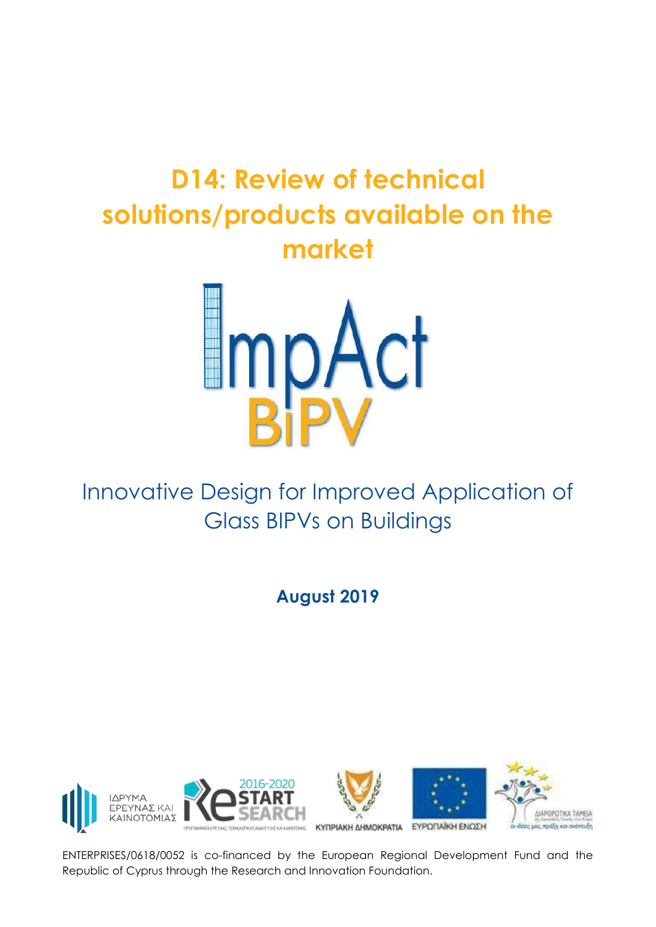# **D14: Review of technical solutions/products available on the market**



Innovative Design for Improved Application of Glass BIPVs on Buildings

**August 2019**









ENTERPRISES/0618/0052 is co-financed by the European Regional Development Fund and the Republic of Cyprus through the Research and Innovation Foundation.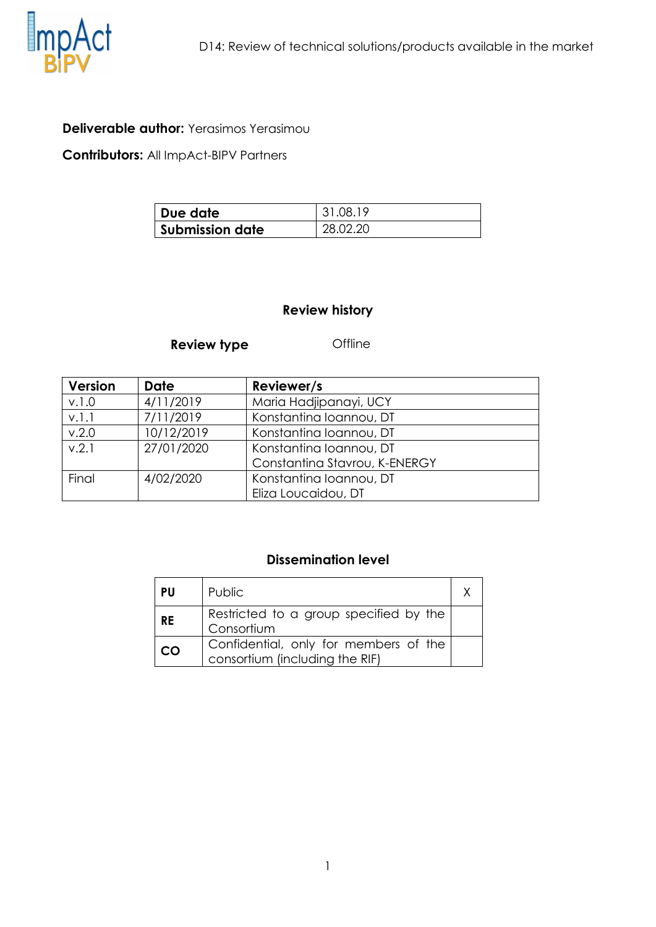

#### **Deliverable author:** Yerasimos Yerasimou

**Contributors:** All ImpAct-BIPV Partners

| Due date               | 31.08.19 |
|------------------------|----------|
| <b>Submission date</b> | 28.02.20 |

#### **Review history**

#### **Review type Offline**

| <b>Version</b> | <b>Date</b> | Reviewer/s                    |  |
|----------------|-------------|-------------------------------|--|
| v.1.0          | 4/11/2019   | Maria Hadjipanayi, UCY        |  |
| v.l.l          | 7/11/2019   | Konstantina Ioannou, DT       |  |
| v.2.0          | 10/12/2019  | Konstantina Ioannou, DT       |  |
| V.2.1          | 27/01/2020  | Konstantina Ioannou, DT       |  |
|                |             | Constantina Stavrou, K-ENERGY |  |
| Final          | 4/02/2020   | Konstantina Ioannou, DT       |  |
|                |             | Eliza Loucaidou, DT           |  |

#### **Dissemination level**

| <b>PU</b> | Public                                                                  |  |
|-----------|-------------------------------------------------------------------------|--|
| <b>RE</b> | Restricted to a group specified by the<br>Consortium                    |  |
| CO        | Confidential, only for members of the<br>consortium (including the RIF) |  |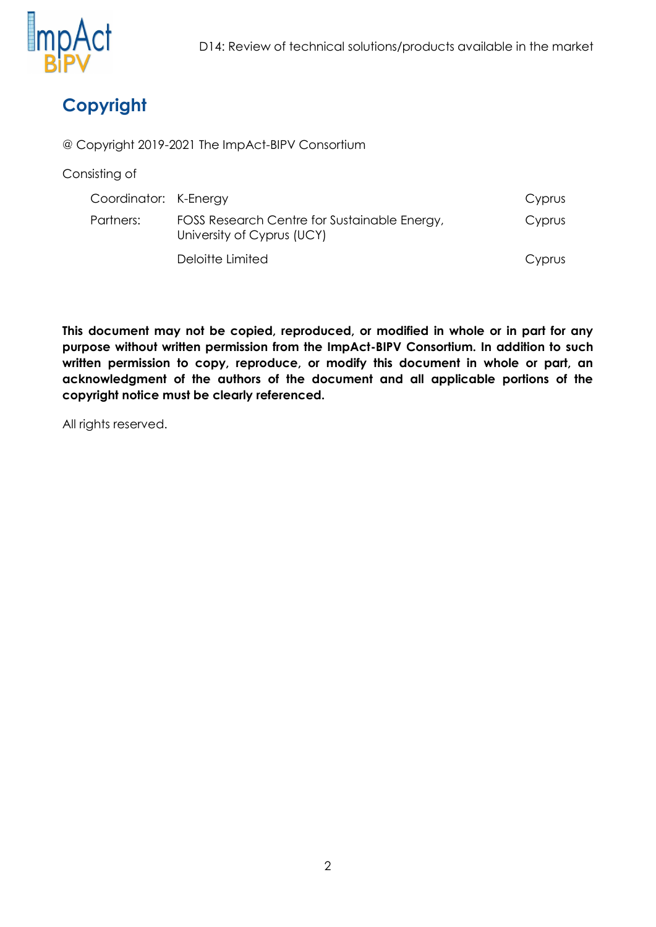

# **Copyright**

@ Copyright 2019-2021 The ImpAct-BIPV Consortium

Consisting of

| Coordinator: K-Energy |                                                                            | Cyprus |
|-----------------------|----------------------------------------------------------------------------|--------|
| Partners:             | FOSS Research Centre for Sustainable Energy,<br>University of Cyprus (UCY) | Cyprus |
|                       | Deloitte Limited                                                           | Cyprus |

**This document may not be copied, reproduced, or modified in whole or in part for any purpose without written permission from the ImpAct-BIPV Consortium. In addition to such written permission to copy, reproduce, or modify this document in whole or part, an acknowledgment of the authors of the document and all applicable portions of the copyright notice must be clearly referenced.**

All rights reserved.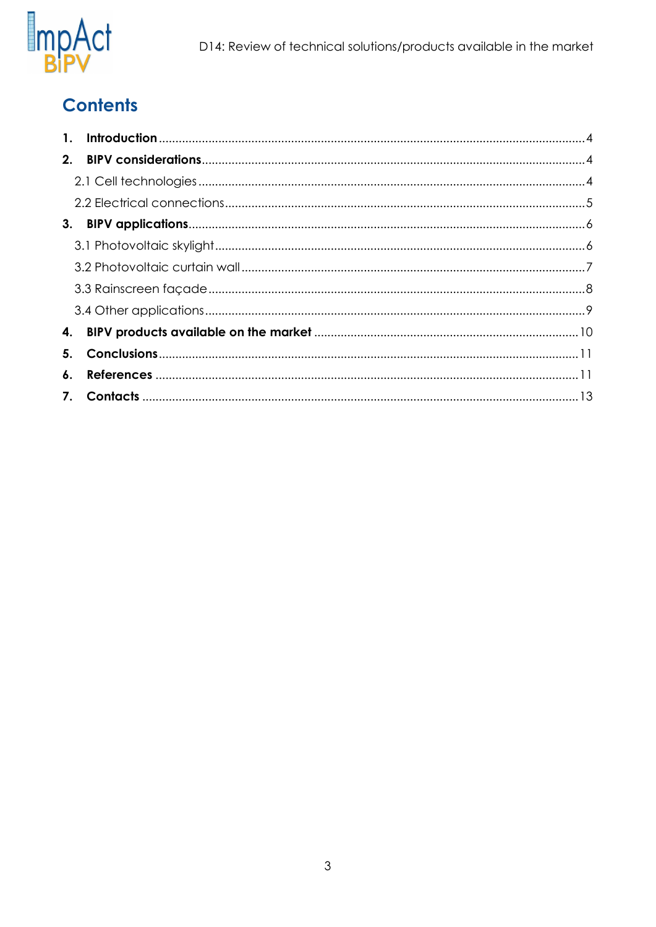

# **Contents**

| $\mathbf{1}$ . |  |
|----------------|--|
|                |  |
|                |  |
|                |  |
|                |  |
|                |  |
|                |  |
|                |  |
|                |  |
|                |  |
| 5.             |  |
| 6.             |  |
|                |  |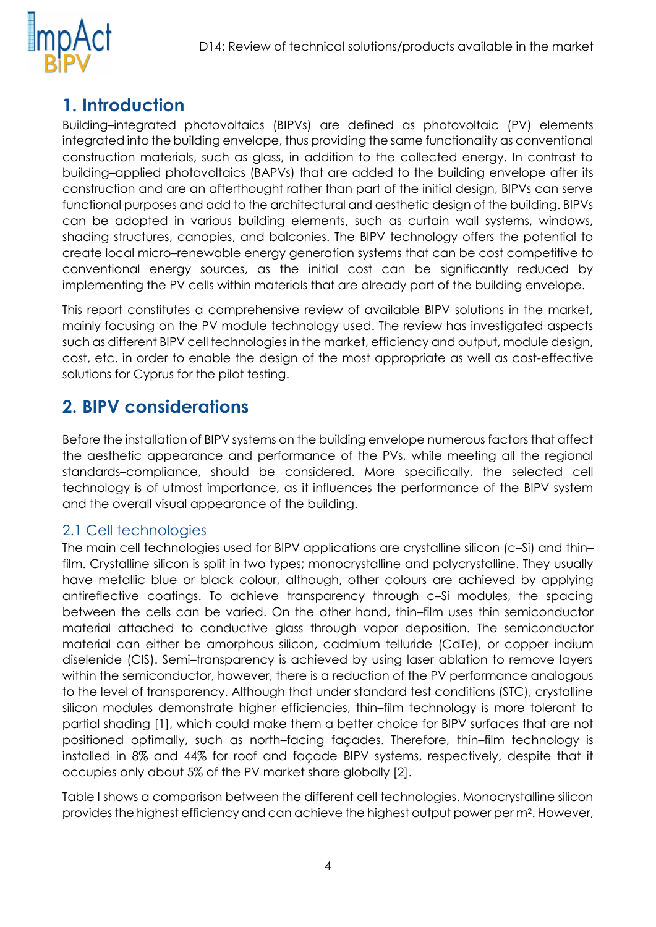

# <span id="page-4-0"></span>**1. Introduction**

Building–integrated photovoltaics (BIPVs) are defined as photovoltaic (PV) elements integrated into the building envelope, thus providing the same functionality as conventional construction materials, such as glass, in addition to the collected energy. In contrast to building–applied photovoltaics (BAPVs) that are added to the building envelope after its construction and are an afterthought rather than part of the initial design, BIPVs can serve functional purposes and add to the architectural and aesthetic design of the building. BIPVs can be adopted in various building elements, such as curtain wall systems, windows, shading structures, canopies, and balconies. The BIPV technology offers the potential to create local micro–renewable energy generation systems that can be cost competitive to conventional energy sources, as the initial cost can be significantly reduced by implementing the PV cells within materials that are already part of the building envelope.

This report constitutes a comprehensive review of available BIPV solutions in the market, mainly focusing on the PV module technology used. The review has investigated aspects such as different BIPV cell technologies in the market, efficiency and output, module design, cost, etc. in order to enable the design of the most appropriate as well as cost-effective solutions for Cyprus for the pilot testing.

### <span id="page-4-1"></span>**2. BIPV considerations**

Before the installation of BIPV systems on the building envelope numerous factors that affect the aesthetic appearance and performance of the PVs, while meeting all the regional standards–compliance, should be considered. More specifically, the selected cell technology is of utmost importance, as it influences the performance of the BIPV system and the overall visual appearance of the building.

#### <span id="page-4-2"></span>2.1 Cell technologies

The main cell technologies used for BIPV applications are crystalline silicon (c–Si) and thin– film. Crystalline silicon is split in two types; monocrystalline and polycrystalline. They usually have metallic blue or black colour, although, other colours are achieved by applying antireflective coatings. To achieve transparency through c–Si modules, the spacing between the cells can be varied. On the other hand, thin–film uses thin semiconductor material attached to conductive glass through vapor deposition. The semiconductor material can either be amorphous silicon, cadmium telluride (CdTe), or copper indium diselenide (CIS). Semi–transparency is achieved by using laser ablation to remove layers within the semiconductor, however, there is a reduction of the PV performance analogous to the level of transparency. Although that under standard test conditions (STC), crystalline silicon modules demonstrate higher efficiencies, thin–film technology is more tolerant to partial shading [1], which could make them a better choice for BIPV surfaces that are not positioned optimally, such as north–facing façades. Therefore, thin–film technology is installed in 8% and 44% for roof and façade BIPV systems, respectively, despite that it occupies only about 5% of the PV market share globally [2].

Table I shows a comparison between the different cell technologies. Monocrystalline silicon provides the highest efficiency and can achieve the highest output power per m<sup>2</sup> . However,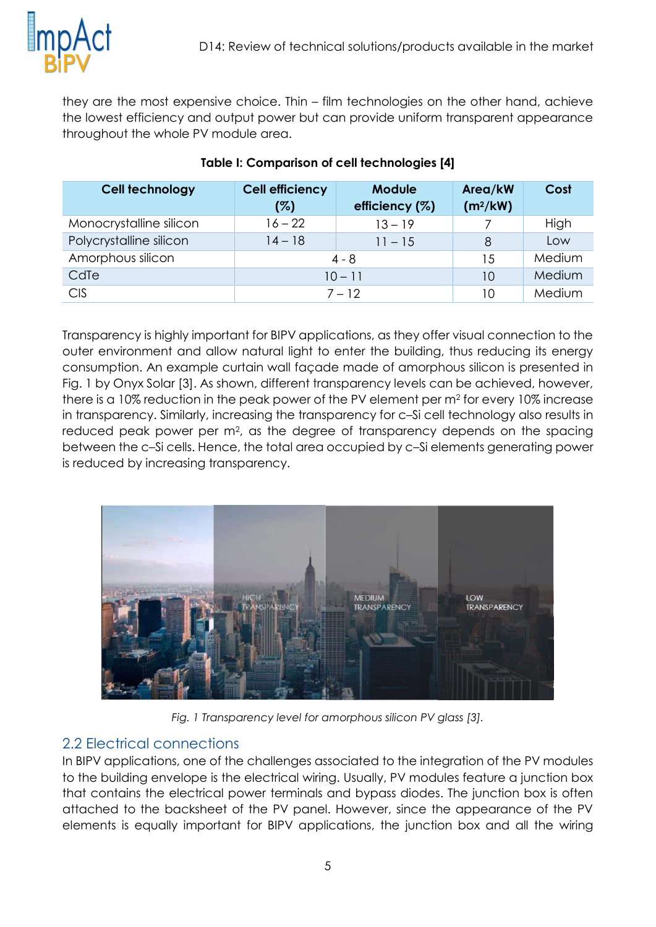

they are the most expensive choice. Thin – film technologies on the other hand, achieve the lowest efficiency and output power but can provide uniform transparent appearance throughout the whole PV module area.

| <b>Cell technology</b>  | <b>Cell efficiency</b> | <b>Module</b>  | Area/kW              | Cost   |
|-------------------------|------------------------|----------------|----------------------|--------|
|                         | (%)                    | efficiency (%) | (m <sup>2</sup> /kW) |        |
| Monocrystalline silicon | $16 - 22$              | $13 - 19$      |                      | High   |
| Polycrystalline silicon | $14 - 18$              | $11 - 15$      | 8                    | Low    |
| Amorphous silicon       | $4 - 8$                |                | 15                   | Medium |
| CdTe                    | $10 - 11$              |                | 10                   | Medium |
| <b>CIS</b>              | $7 - 12$               |                | 10                   | Medium |

#### **Table I: Comparison of cell technologies [4]**

Transparency is highly important for BIPV applications, as they offer visual connection to the outer environment and allow natural light to enter the building, thus reducing its energy consumption. An example curtain wall façade made of amorphous silicon is presented in Fig. 1 by Onyx Solar [3]. As shown, different transparency levels can be achieved, however, there is a 10% reduction in the peak power of the PV element per m<sup>2</sup> for every 10% increase in transparency. Similarly, increasing the transparency for c–Si cell technology also results in reduced peak power per m<sup>2</sup>, as the degree of transparency depends on the spacing between the c–Si cells. Hence, the total area occupied by c–Si elements generating power is reduced by increasing transparency.



*Fig. 1 Transparency level for amorphous silicon PV glass [3].*

#### <span id="page-5-0"></span>2.2 Electrical connections

In BIPV applications, one of the challenges associated to the integration of the PV modules to the building envelope is the electrical wiring. Usually, PV modules feature a junction box that contains the electrical power terminals and bypass diodes. The junction box is often attached to the backsheet of the PV panel. However, since the appearance of the PV elements is equally important for BIPV applications, the junction box and all the wiring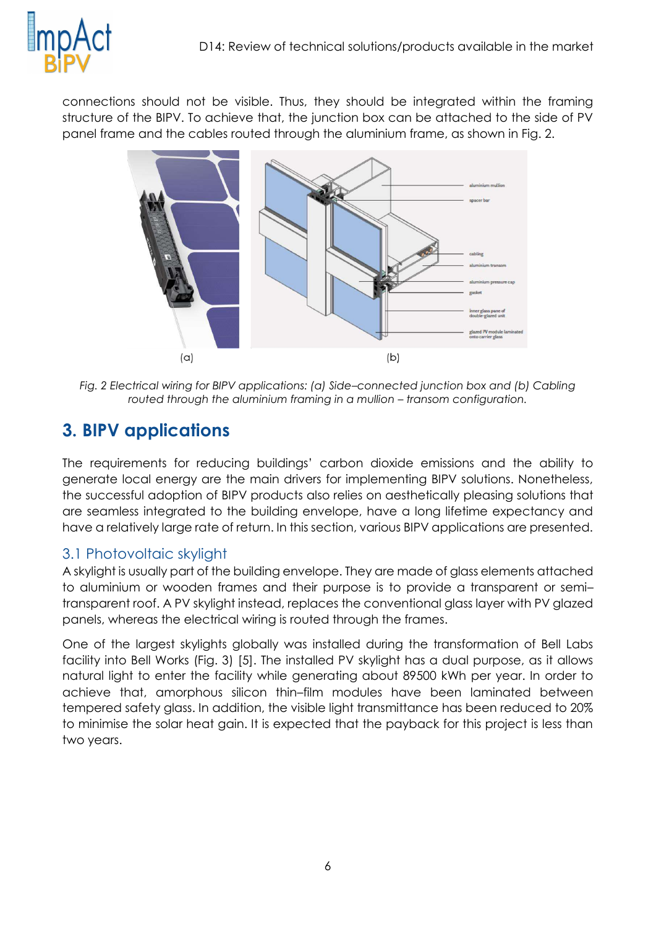

connections should not be visible. Thus, they should be integrated within the framing structure of the BIPV. To achieve that, the junction box can be attached to the side of PV panel frame and the cables routed through the aluminium frame, as shown in Fig. 2.



*Fig. 2 Electrical wiring for BIPV applications: (a) Side–connected junction box and (b) Cabling routed through the aluminium framing in a mullion – transom configuration.* 

# <span id="page-6-0"></span>**3. BIPV applications**

The requirements for reducing buildings' carbon dioxide emissions and the ability to generate local energy are the main drivers for implementing BIPV solutions. Nonetheless, the successful adoption of BIPV products also relies on aesthetically pleasing solutions that are seamless integrated to the building envelope, have a long lifetime expectancy and have a relatively large rate of return. In this section, various BIPV applications are presented.

#### <span id="page-6-1"></span>3.1 Photovoltaic skylight

A skylight is usually part of the building envelope. They are made of glass elements attached to aluminium or wooden frames and their purpose is to provide a transparent or semi– transparent roof. A PV skylight instead, replaces the conventional glass layer with PV glazed panels, whereas the electrical wiring is routed through the frames.

One of the largest skylights globally was installed during the transformation of Bell Labs facility into Bell Works (Fig. 3) [5]. The installed PV skylight has a dual purpose, as it allows natural light to enter the facility while generating about 89500 kWh per year. In order to achieve that, amorphous silicon thin–film modules have been laminated between tempered safety glass. In addition, the visible light transmittance has been reduced to 20% to minimise the solar heat gain. It is expected that the payback for this project is less than two years.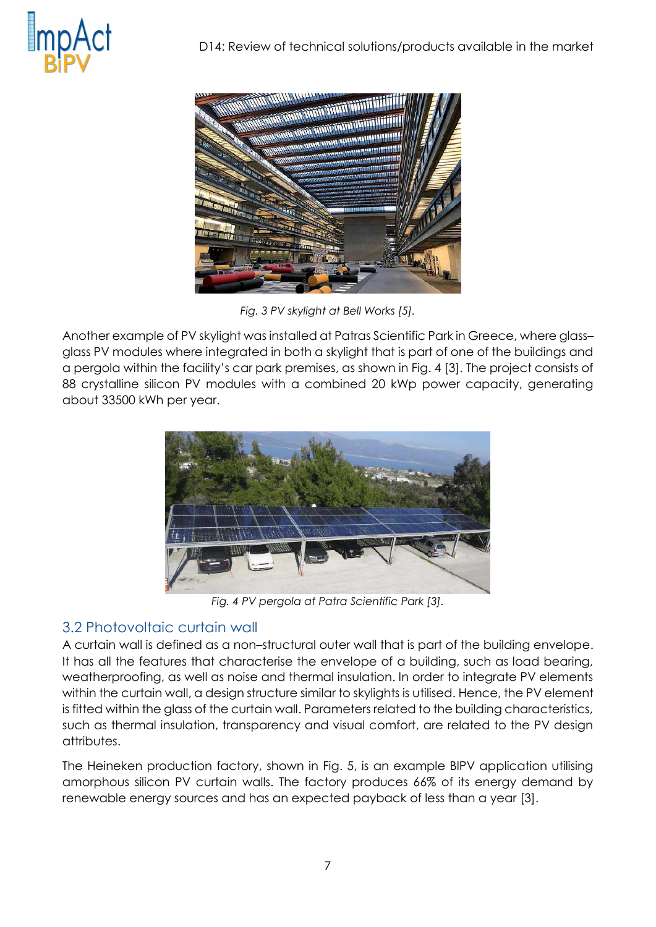



*Fig. 3 PV skylight at Bell Works [5].*

Another example of PV skylight was installed at Patras Scientific Park in Greece, where glass– glass PV modules where integrated in both a skylight that is part of one of the buildings and a pergola within the facility's car park premises, as shown in Fig. 4 [3]. The project consists of 88 crystalline silicon PV modules with a combined 20 kWp power capacity, generating about 33500 kWh per year.



*Fig. 4 PV pergola at Patra Scientific Park [3].*

#### <span id="page-7-0"></span>3.2 Photovoltaic curtain wall

A curtain wall is defined as a non–structural outer wall that is part of the building envelope. It has all the features that characterise the envelope of a building, such as load bearing, weatherproofing, as well as noise and thermal insulation. In order to integrate PV elements within the curtain wall, a design structure similar to skylights is utilised. Hence, the PV element is fitted within the glass of the curtain wall. Parameters related to the building characteristics, such as thermal insulation, transparency and visual comfort, are related to the PV design attributes.

The Heineken production factory, shown in Fig. 5, is an example BIPV application utilising amorphous silicon PV curtain walls. The factory produces 66% of its energy demand by renewable energy sources and has an expected payback of less than a year [3].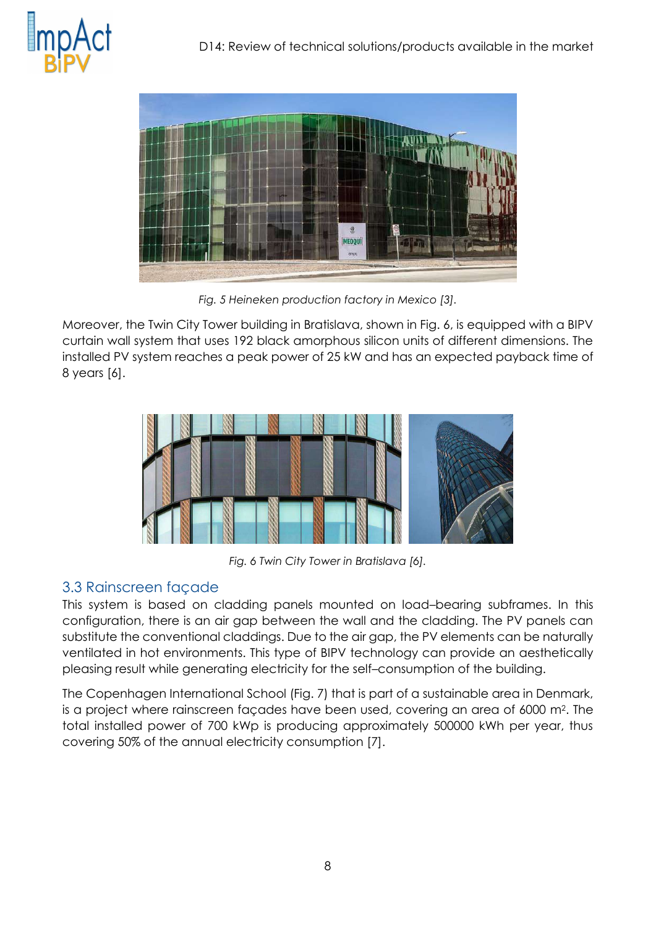



*Fig. 5 Heineken production factory in Mexico [3].*

Moreover, the Twin City Tower building in Bratislava, shown in Fig. 6, is equipped with a BIPV curtain wall system that uses 192 black amorphous silicon units of different dimensions. The installed PV system reaches a peak power of 25 kW and has an expected payback time of 8 years [6].



*Fig. 6 Twin City Tower in Bratislava [6].*

#### <span id="page-8-0"></span>3.3 Rainscreen façade

This system is based on cladding panels mounted on load–bearing subframes. In this configuration, there is an air gap between the wall and the cladding. The PV panels can substitute the conventional claddings. Due to the air gap, the PV elements can be naturally ventilated in hot environments. This type of BIPV technology can provide an aesthetically pleasing result while generating electricity for the self–consumption of the building.

The Copenhagen International School (Fig. 7) that is part of a sustainable area in Denmark, is a project where rainscreen façades have been used, covering an area of 6000 m<sup>2</sup> . The total installed power of 700 kWp is producing approximately 500000 kWh per year, thus covering 50% of the annual electricity consumption [7].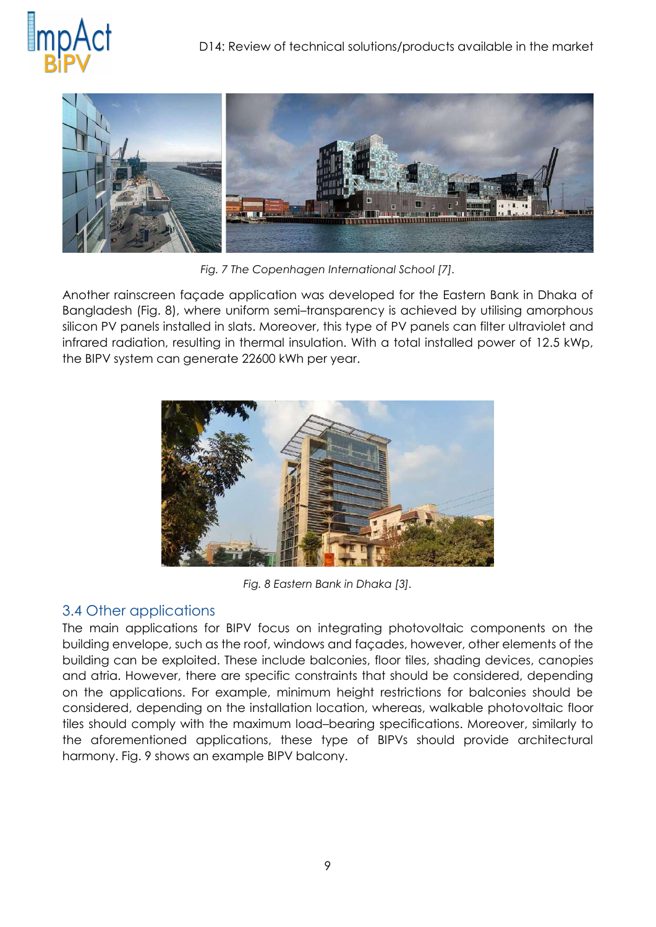



*Fig. 7 The Copenhagen International School [7].*

Another rainscreen façade application was developed for the Eastern Bank in Dhaka of Bangladesh (Fig. 8), where uniform semi–transparency is achieved by utilising amorphous silicon PV panels installed in slats. Moreover, this type of PV panels can filter ultraviolet and infrared radiation, resulting in thermal insulation. With a total installed power of 12.5 kWp, the BIPV system can generate 22600 kWh per year.



*Fig. 8 Eastern Bank in Dhaka [3].*

#### <span id="page-9-0"></span>3.4 Other applications

The main applications for BIPV focus on integrating photovoltaic components on the building envelope, such as the roof, windows and façades, however, other elements of the building can be exploited. These include balconies, floor tiles, shading devices, canopies and atria. However, there are specific constraints that should be considered, depending on the applications. For example, minimum height restrictions for balconies should be considered, depending on the installation location, whereas, walkable photovoltaic floor tiles should comply with the maximum load–bearing specifications. Moreover, similarly to the aforementioned applications, these type of BIPVs should provide architectural harmony. Fig. 9 shows an example BIPV balcony.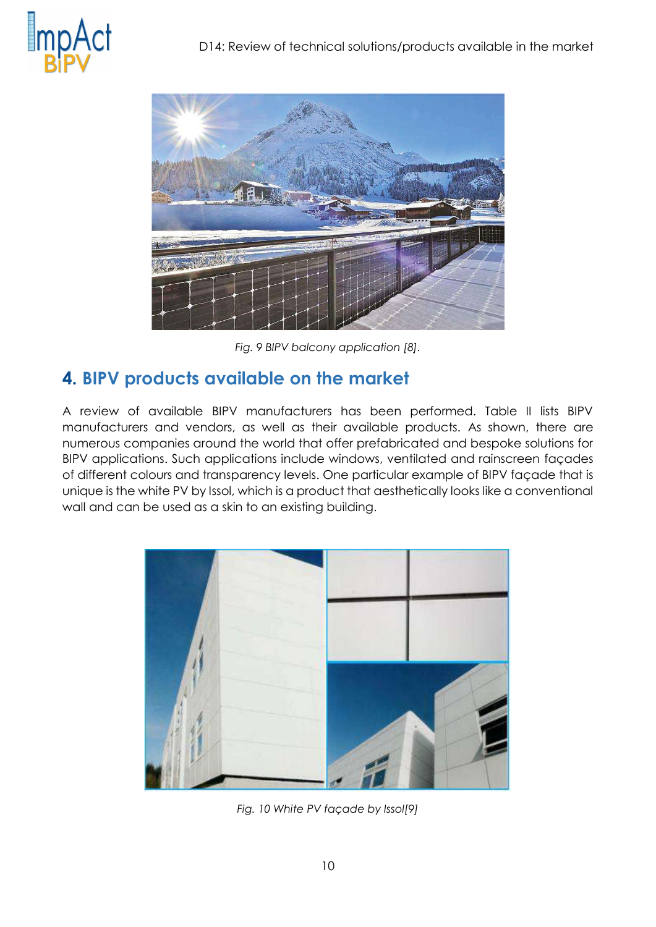



*Fig. 9 BIPV balcony application [8].*

### <span id="page-10-0"></span>**4. BIPV products available on the market**

A review of available BIPV manufacturers has been performed. Table II lists BIPV manufacturers and vendors, as well as their available products. As shown, there are numerous companies around the world that offer prefabricated and bespoke solutions for BIPV applications. Such applications include windows, ventilated and rainscreen façades of different colours and transparency levels. One particular example of BIPV façade that is unique is the white PV by Issol, which is a product that aesthetically looks like a conventional wall and can be used as a skin to an existing building.



*Fig. 10 White PV façade by Issol[9]*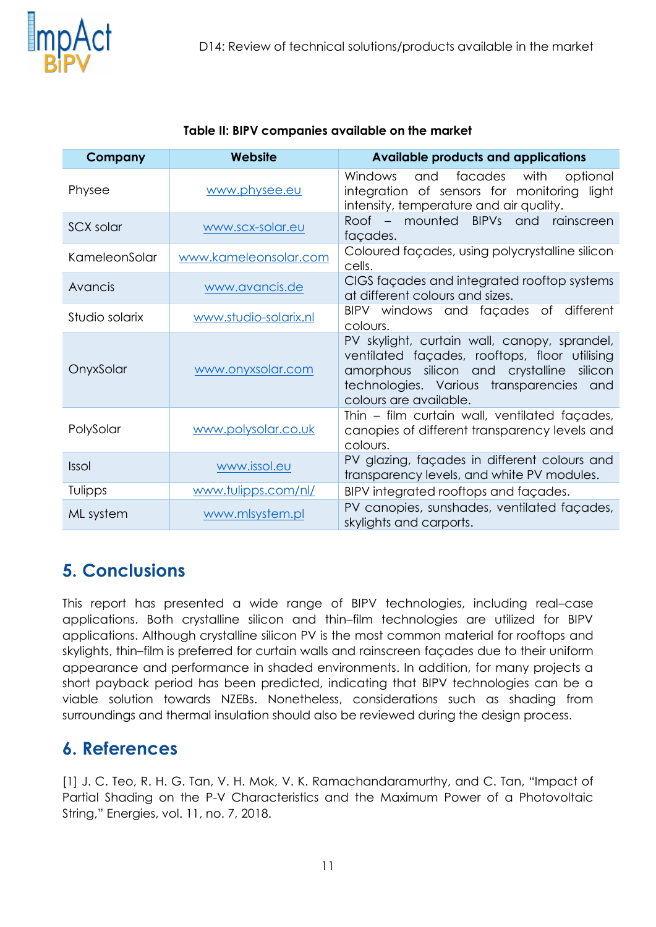

| Company        | Website               | <b>Available products and applications</b>                                                                                                                                                                       |  |  |
|----------------|-----------------------|------------------------------------------------------------------------------------------------------------------------------------------------------------------------------------------------------------------|--|--|
| Physee         | www.physee.eu         | <b>Windows</b><br>and<br>facades<br>with<br>optional<br>integration of sensors for monitoring light<br>intensity, temperature and air quality.                                                                   |  |  |
| SCX solar      | www.scx-solar.eu      | Roof – mounted BIPVs and<br>rainscreen<br>façades.                                                                                                                                                               |  |  |
| KameleonSolar  | www.kameleonsolar.com | Coloured façades, using polycrystalline silicon<br>cells.                                                                                                                                                        |  |  |
| Avancis        | www.avancis.de        | CIGS façades and integrated rooftop systems<br>at different colours and sizes.                                                                                                                                   |  |  |
| Studio solarix | www.studio-solarix.nl | BIPV windows and façades of different<br>colours.                                                                                                                                                                |  |  |
| OnyxSolar      | www.onyxsolar.com     | PV skylight, curtain wall, canopy, sprandel,<br>ventilated façades, rooftops, floor utilising<br>amorphous silicon and crystalline silicon<br>technologies. Various transparencies and<br>colours are available. |  |  |
| PolySolar      | www.polysolar.co.uk   | Thin - film curtain wall, ventilated façades,<br>canopies of different transparency levels and<br>colours.                                                                                                       |  |  |
| <b>Issol</b>   | www.issol.eu          | PV glazing, façades in different colours and<br>transparency levels, and white PV modules.                                                                                                                       |  |  |
| Tulipps        | www.tulipps.com/nl/   | BIPV integrated rooftops and façades.                                                                                                                                                                            |  |  |
| ML system      | www.mlsystem.pl       | PV canopies, sunshades, ventilated façades,<br>skylights and carports.                                                                                                                                           |  |  |

#### **Table II: BIPV companies available on the market**

# <span id="page-11-0"></span>**5. Conclusions**

This report has presented a wide range of BIPV technologies, including real–case applications. Both crystalline silicon and thin–film technologies are utilized for BIPV applications. Although crystalline silicon PV is the most common material for rooftops and skylights, thin–film is preferred for curtain walls and rainscreen façades due to their uniform appearance and performance in shaded environments. In addition, for many projects a short payback period has been predicted, indicating that BIPV technologies can be a viable solution towards NZEBs. Nonetheless, considerations such as shading from surroundings and thermal insulation should also be reviewed during the design process.

### <span id="page-11-1"></span>**6. References**

[1] J. C. Teo, R. H. G. Tan, V. H. Mok, V. K. Ramachandaramurthy, and C. Tan, "Impact of Partial Shading on the P-V Characteristics and the Maximum Power of a Photovoltaic String," Energies, vol. 11, no. 7, 2018.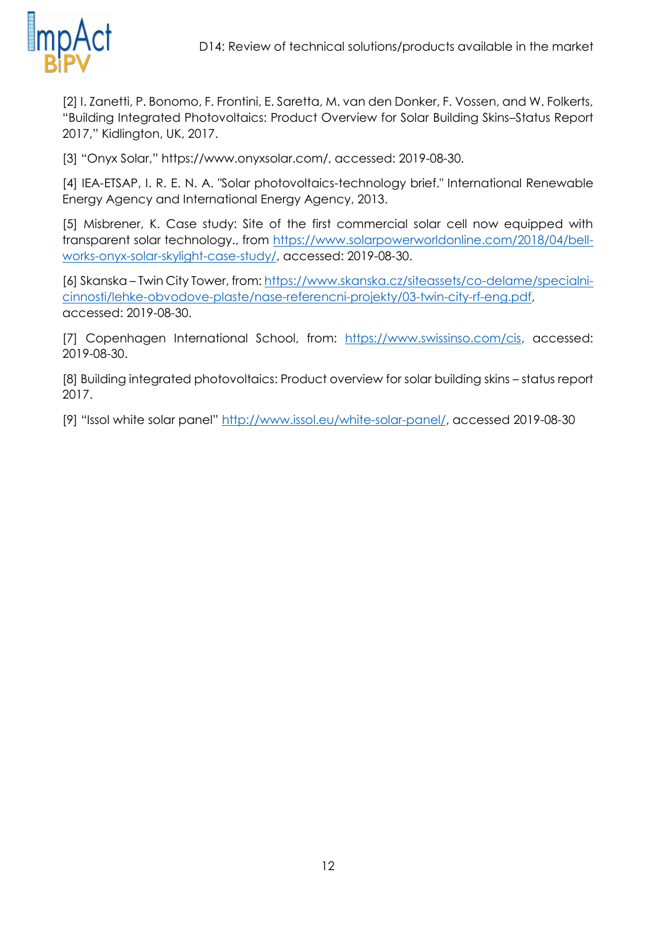

[2] I. Zanetti, P. Bonomo, F. Frontini, E. Saretta, M. van den Donker, F. Vossen, and W. Folkerts, "Building Integrated Photovoltaics: Product Overview for Solar Building Skins–Status Report 2017," Kidlington, UK, 2017.

[3] "Onyx Solar," https://www.onyxsolar.com/, accessed: 2019-08-30.

[4] IEA-ETSAP, I. R. E. N. A. "Solar photovoltaics-technology brief." International Renewable Energy Agency and International Energy Agency, 2013.

[5] Misbrener, K. Case study: Site of the first commercial solar cell now equipped with transparent solar technology., from [https://www.solarpowerworldonline.com/2018/04/bell](https://www.solarpowerworldonline.com/2018/04/bell-works-onyx-solar-skylight-case-study/)[works-onyx-solar-skylight-case-study/,](https://www.solarpowerworldonline.com/2018/04/bell-works-onyx-solar-skylight-case-study/) accessed: 2019-08-30.

[6] Skanska – Twin City Tower, from: [https://www.skanska.cz/siteassets/co-delame/specialni](https://www.skanska.cz/siteassets/co-delame/specialni-cinnosti/lehke-obvodove-plaste/nase-referencni-projekty/03-twin-city-rf-eng.pdf)[cinnosti/lehke-obvodove-plaste/nase-referencni-projekty/03-twin-city-rf-eng.pdf,](https://www.skanska.cz/siteassets/co-delame/specialni-cinnosti/lehke-obvodove-plaste/nase-referencni-projekty/03-twin-city-rf-eng.pdf) accessed: 2019-08-30.

[7] Copenhagen International School, from: [https://www.swissinso.com/cis,](https://www.swissinso.com/cis) accessed: 2019-08-30.

[8] Building integrated photovoltaics: Product overview for solar building skins – status report 2017.

[9] "Issol white solar panel" [http://www.issol.eu/white-solar-panel/,](http://www.issol.eu/white-solar-panel/) accessed 2019-08-30